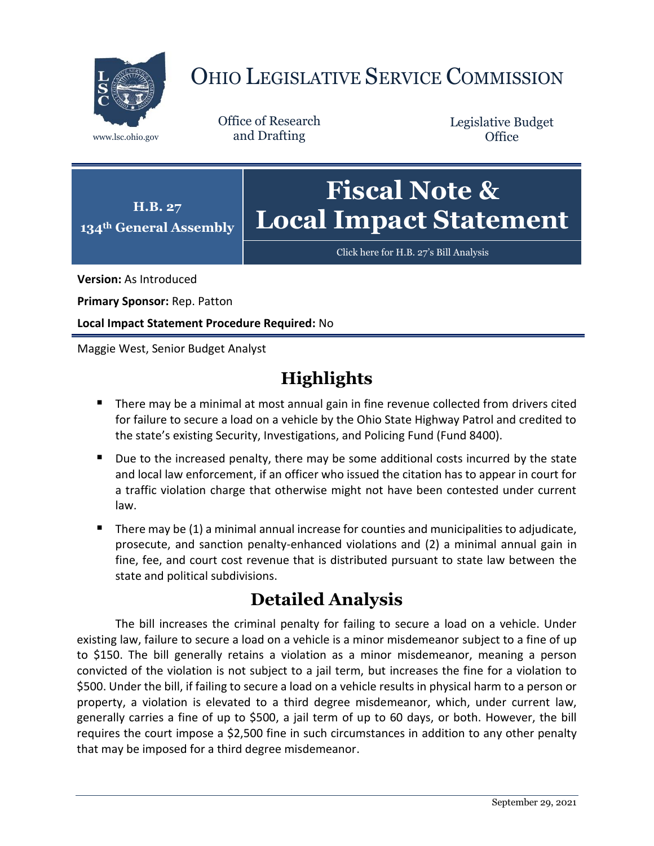

# OHIO LEGISLATIVE SERVICE COMMISSION

Office of Research www.lsc.ohio.gov and Drafting

Legislative Budget **Office** 



[Click here for H.B. 27](https://www.legislature.ohio.gov/legislation/legislation-documents?id=GA134-HB-27)'s Bill Analysis

**Version:** As Introduced

**Primary Sponsor:** Rep. Patton

**Local Impact Statement Procedure Required:** No

Maggie West, Senior Budget Analyst

# **Highlights**

- **There may be a minimal at most annual gain in fine revenue collected from drivers cited** for failure to secure a load on a vehicle by the Ohio State Highway Patrol and credited to the state's existing Security, Investigations, and Policing Fund (Fund 8400).
- Due to the increased penalty, there may be some additional costs incurred by the state and local law enforcement, if an officer who issued the citation has to appear in court for a traffic violation charge that otherwise might not have been contested under current law.
- There may be (1) a minimal annual increase for counties and municipalities to adjudicate, prosecute, and sanction penalty-enhanced violations and (2) a minimal annual gain in fine, fee, and court cost revenue that is distributed pursuant to state law between the state and political subdivisions.

# **Detailed Analysis**

The bill increases the criminal penalty for failing to secure a load on a vehicle. Under existing law, failure to secure a load on a vehicle is a minor misdemeanor subject to a fine of up to \$150. The bill generally retains a violation as a minor misdemeanor, meaning a person convicted of the violation is not subject to a jail term, but increases the fine for a violation to \$500. Under the bill, if failing to secure a load on a vehicle results in physical harm to a person or property, a violation is elevated to a third degree misdemeanor, which, under current law, generally carries a fine of up to \$500, a jail term of up to 60 days, or both. However, the bill requires the court impose a \$2,500 fine in such circumstances in addition to any other penalty that may be imposed for a third degree misdemeanor.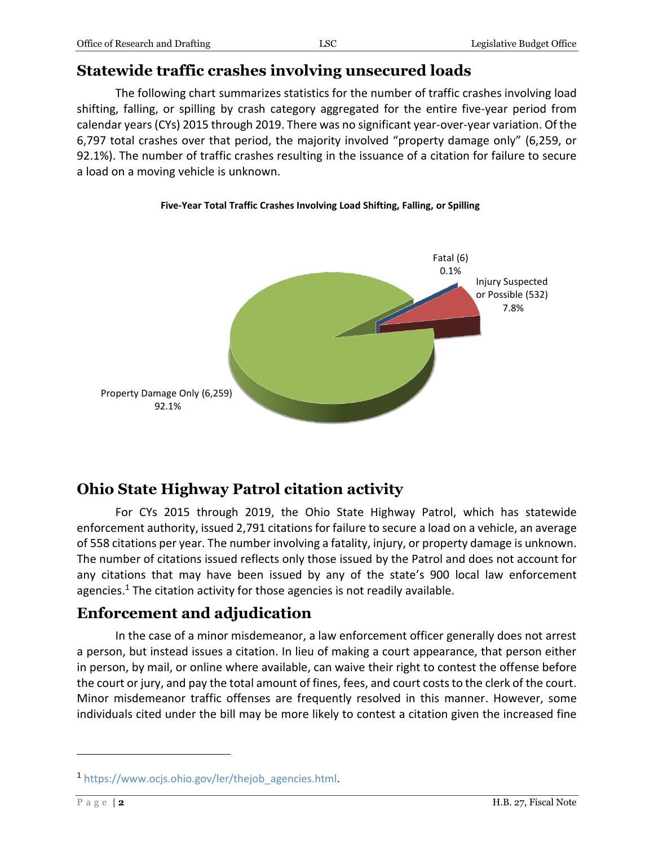### **Statewide traffic crashes involving unsecured loads**

The following chart summarizes statistics for the number of traffic crashes involving load shifting, falling, or spilling by crash category aggregated for the entire five-year period from calendar years(CYs) 2015 through 2019. There was no significant year-over-year variation. Of the 6,797 total crashes over that period, the majority involved "property damage only" (6,259, or 92.1%). The number of traffic crashes resulting in the issuance of a citation for failure to secure a load on a moving vehicle is unknown.

#### **Five-Year Total Traffic Crashes Involving Load Shifting, Falling, or Spilling**



## **Ohio State Highway Patrol citation activity**

For CYs 2015 through 2019, the Ohio State Highway Patrol, which has statewide enforcement authority, issued 2,791 citations for failure to secure a load on a vehicle, an average of 558 citations per year. The number involving a fatality, injury, or property damage is unknown. The number of citations issued reflects only those issued by the Patrol and does not account for any citations that may have been issued by any of the state's 900 local law enforcement agencies. <sup>1</sup> The citation activity for those agencies is not readily available.

## **Enforcement and adjudication**

In the case of a minor misdemeanor, a law enforcement officer generally does not arrest a person, but instead issues a citation. In lieu of making a court appearance, that person either in person, by mail, or online where available, can waive their right to contest the offense before the court or jury, and pay the total amount of fines, fees, and court costs to the clerk of the court. Minor misdemeanor traffic offenses are frequently resolved in this manner. However, some individuals cited under the bill may be more likely to contest a citation given the increased fine

 $\overline{a}$ 

<sup>1</sup> [https://www.ocjs.ohio.gov/ler/thejob\\_agencies.html.](https://www.ocjs.ohio.gov/ler/thejob_agencies.html)